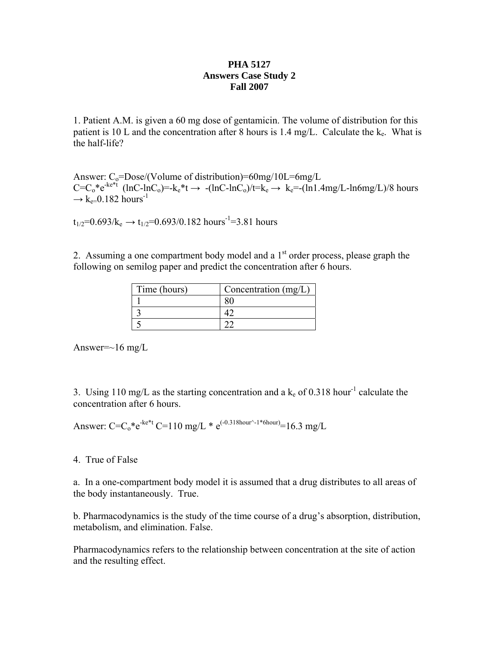## **PHA 5127 Answers Case Study 2 Fall 2007**

1. Patient A.M. is given a 60 mg dose of gentamicin. The volume of distribution for this patient is 10 L and the concentration after 8 hours is 1.4 mg/L. Calculate the  $k_e$ . What is the half-life?

Answer:  $C_0$ =Dose/(Volume of distribution)=60mg/10L=6mg/L  $C=C_0^*e^{-ke^{*t}}$  (lnC-lnC<sub>o</sub>)=-k<sub>e</sub>\*t  $\rightarrow$  -(lnC-lnC<sub>o</sub>)/t=k<sub>e</sub>  $\rightarrow$  k<sub>e</sub>=-(ln1.4mg/L-ln6mg/L)/8 hours  $\rightarrow$  k<sub>e=</sub>0.182 hours<sup>-1</sup>

 $t_{1/2}$ =0.693/k<sub>e</sub>  $\rightarrow$  t<sub>1/2</sub>=0.693/0.182 hours<sup>-1</sup>=3.81 hours

2. Assuming a one compartment body model and a  $1<sup>st</sup>$  order process, please graph the following on semilog paper and predict the concentration after 6 hours.

| Time (hours) | Concentration $(mg/L)$ |
|--------------|------------------------|
|              |                        |
|              |                        |
|              |                        |

Answer= $\sim$ 16 mg/L

3. Using 110 mg/L as the starting concentration and a  $k_e$  of 0.318 hour<sup>-1</sup> calculate the concentration after 6 hours.

Answer:  $C=C_0^*e^{-ke^*t}C=110$  mg/L  $* e^{(-0.318 \text{hour}\textdegree -1*6 \text{hour})}=16.3$  mg/L

4. True of False

a. In a one-compartment body model it is assumed that a drug distributes to all areas of the body instantaneously. True.

b. Pharmacodynamics is the study of the time course of a drug's absorption, distribution, metabolism, and elimination. False.

Pharmacodynamics refers to the relationship between concentration at the site of action and the resulting effect.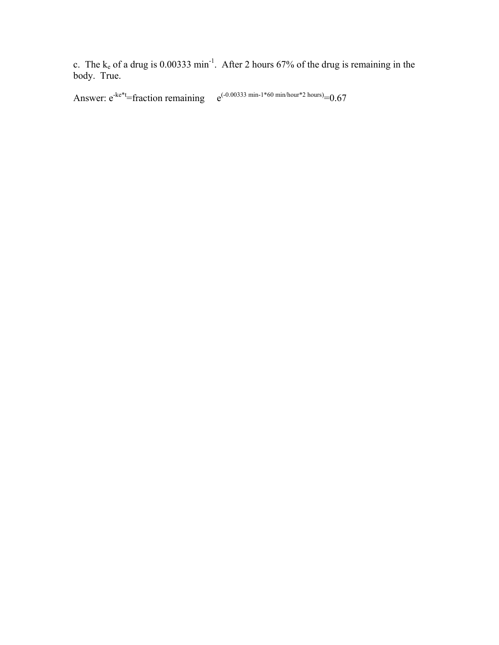c. The  $k_e$  of a drug is 0.00333 min<sup>-1</sup>. After 2 hours 67% of the drug is remaining in the body. True.

Answer:  $e^{-ke^{*}t}$ =fraction remaining  $e^{(-0.00333 \text{ min-1*60 min/hour} * 2 \text{ hours})}$ =0.67